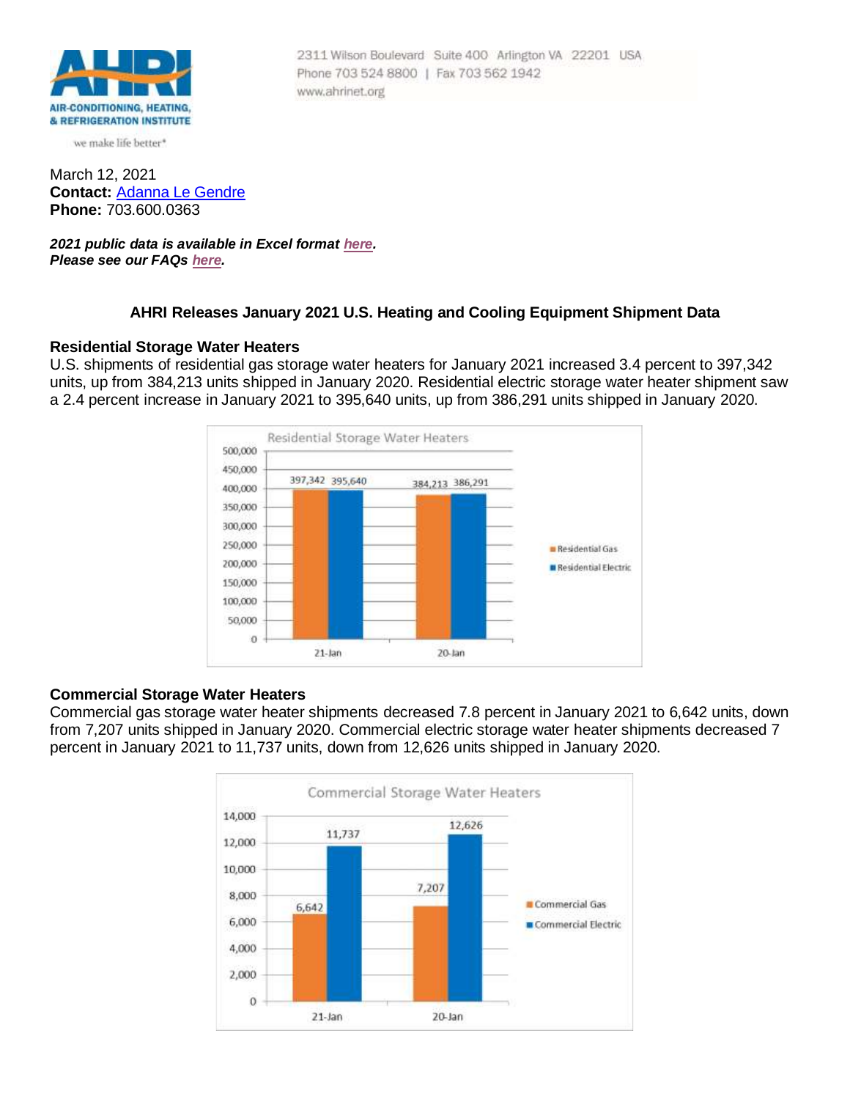

we make life better\*

March 12, 2021 **Contact:** [Adanna Le Gendre](mailto:AleGendre@ahrinet.org) **Phone:** 703.600.0363

*2021 public data is available in Excel format [here.](http://www.ahrinet.org/App_Content/ahri/files/RESOURCES/January_2021.xls) Please see our FAQs [here.](#page-2-0)*

## **AHRI Releases January 2021 U.S. Heating and Cooling Equipment Shipment Data**

Phone 703 524 8800 | Fax 703 562 1942

www.ahrinet.org

2311 Wilson Boulevard Suite 400 Arlington VA 22201 USA

## **Residential Storage Water Heaters**

U.S. shipments of residential gas storage water heaters for January 2021 increased 3.4 percent to 397,342 units, up from 384,213 units shipped in January 2020. Residential electric storage water heater shipment saw a 2.4 percent increase in January 2021 to 395,640 units, up from 386,291 units shipped in January 2020.



### **Commercial Storage Water Heaters**

Commercial gas storage water heater shipments decreased 7.8 percent in January 2021 to 6,642 units, down from 7,207 units shipped in January 2020. Commercial electric storage water heater shipments decreased 7 percent in January 2021 to 11,737 units, down from 12,626 units shipped in January 2020.

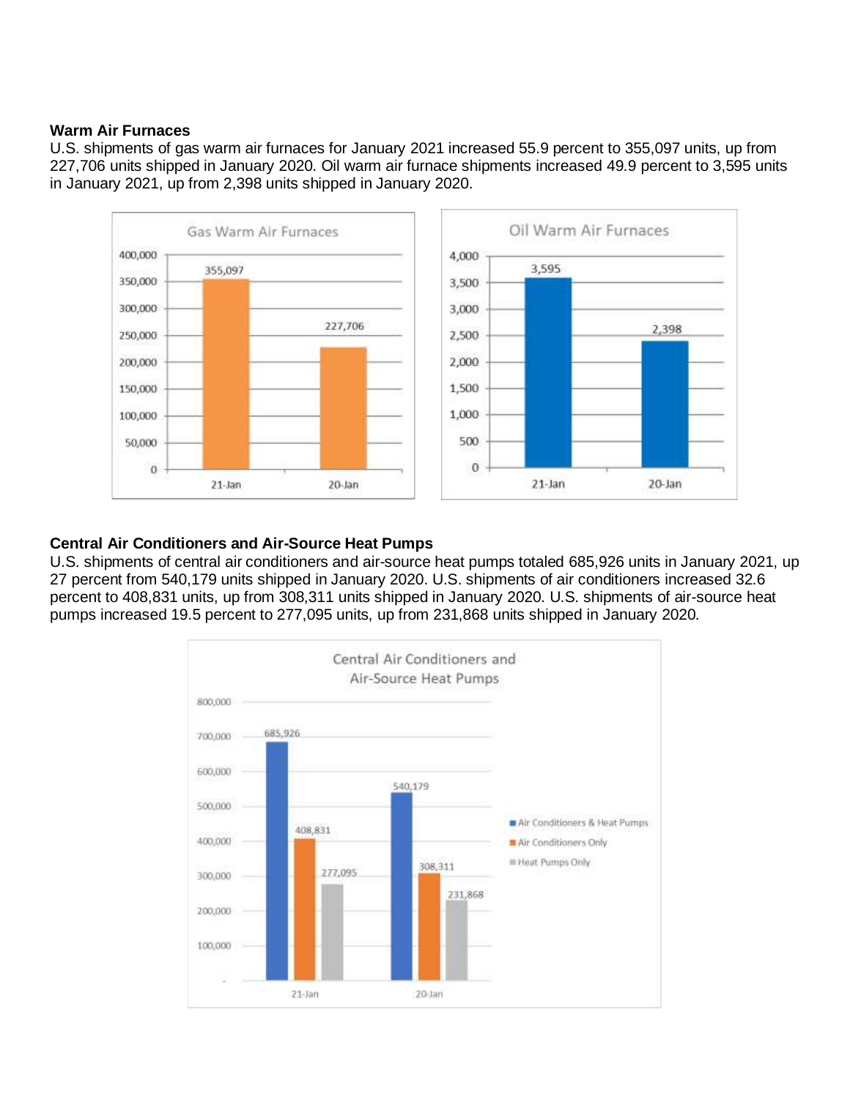# **Warm Air Furnaces**

U.S. shipments of gas warm air furnaces for January 2021 increased 55.9 percent to 355,097 units, up from 227,706 units shipped in January 2020. Oil warm air furnace shipments increased 49.9 percent to 3,595 units in January 2021, up from 2,398 units shipped in January 2020.



# **Central Air Conditioners and Air-Source Heat Pumps**

U.S. shipments of central air conditioners and air-source heat pumps totaled 685,926 units in January 2021, up 27 percent from 540,179 units shipped in January 2020. U.S. shipments of air conditioners increased 32.6 percent to 408,831 units, up from 308,311 units shipped in January 2020. U.S. shipments of air-source heat pumps increased 19.5 percent to 277,095 units, up from 231,868 units shipped in January 2020.